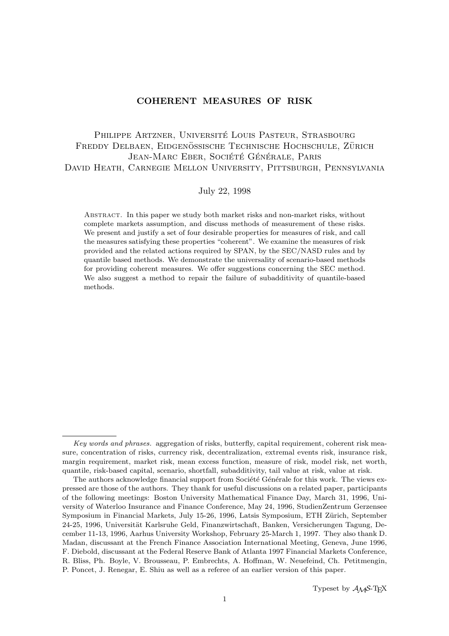### **COHERENT MEASURES OF RISK**

# Philippe Artzner, Université Louis Pasteur, Strasbourg Freddy Delbaen, Eidgenössische Technische Hochschule, Zürich Jean-Marc Eber, Société Générale, Paris David Heath, Carnegie Mellon University, Pittsburgh, Pennsylvania

### July 22, 1998

ABSTRACT. In this paper we study both market risks and non-market risks, without complete markets assumption, and discuss methods of measurement of these risks. We present and justify a set of four desirable properties for measures of risk, and call the measures satisfying these properties "coherent". We examine the measures of risk provided and the related actions required by SPAN, by the SEC/NASD rules and by quantile based methods. We demonstrate the universality of scenario-based methods for providing coherent measures. We offer suggestions concerning the SEC method. We also suggest a method to repair the failure of subadditivity of quantile-based methods.

*Key words and phrases.* aggregation of risks, butterfly, capital requirement, coherent risk measure, concentration of risks, currency risk, decentralization, extremal events risk, insurance risk, margin requirement, market risk, mean excess function, measure of risk, model risk, net worth, quantile, risk-based capital, scenario, shortfall, subadditivity, tail value at risk, value at risk.

The authors acknowledge financial support from Société Générale for this work. The views expressed are those of the authors. They thank for useful discussions on a related paper, participants of the following meetings: Boston University Mathematical Finance Day, March 31, 1996, University of Waterloo Insurance and Finance Conference, May 24, 1996, StudienZentrum Gerzensee Symposium in Financial Markets, July 15-26, 1996, Latsis Symposium, ETH Zürich, September 24-25, 1996, Universität Karlsruhe Geld, Finanzwirtschaft, Banken, Versicherungen Tagung, December 11-13, 1996, Aarhus University Workshop, February 25-March 1, 1997. They also thank D. Madan, discussant at the French Finance Association International Meeting, Geneva, June 1996, F. Diebold, discussant at the Federal Reserve Bank of Atlanta 1997 Financial Markets Conference, R. Bliss, Ph. Boyle, V. Brousseau, P. Embrechts, A. Hoffman, W. Neuefeind, Ch. Petitmengin, P. Poncet, J. Renegar, E. Shiu as well as a referee of an earlier version of this paper.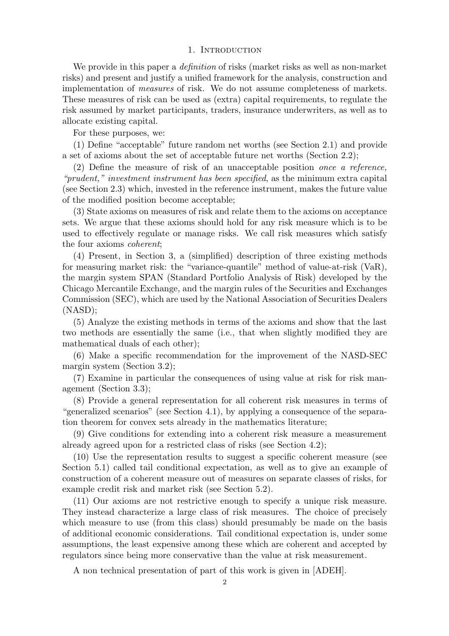# 1. INTRODUCTION

We provide in this paper a *definition* of risks (market risks as well as non-market risks) and present and justify a unified framework for the analysis, construction and implementation of measures of risk. We do not assume completeness of markets. These measures of risk can be used as (extra) capital requirements, to regulate the risk assumed by market participants, traders, insurance underwriters, as well as to allocate existing capital.

For these purposes, we:

(1) Define "acceptable" future random net worths (see Section 2.1) and provide a set of axioms about the set of acceptable future net worths (Section 2.2);

(2) Define the measure of risk of an unacceptable position once a reference, "prudent," investment instrument has been specified, as the minimum extra capital (see Section 2.3) which, invested in the reference instrument, makes the future value of the modified position become acceptable;

(3) State axioms on measures of risk and relate them to the axioms on acceptance sets. We argue that these axioms should hold for any risk measure which is to be used to effectively regulate or manage risks. We call risk measures which satisfy the four axioms coherent;

(4) Present, in Section 3, a (simplified) description of three existing methods for measuring market risk: the "variance-quantile" method of value-at-risk (VaR), the margin system SPAN (Standard Portfolio Analysis of Risk) developed by the Chicago Mercantile Exchange, and the margin rules of the Securities and Exchanges Commission (SEC), which are used by the National Association of Securities Dealers (NASD);

(5) Analyze the existing methods in terms of the axioms and show that the last two methods are essentially the same (i.e., that when slightly modified they are mathematical duals of each other);

(6) Make a specific recommendation for the improvement of the NASD-SEC margin system (Section 3.2);

(7) Examine in particular the consequences of using value at risk for risk management (Section 3.3);

(8) Provide a general representation for all coherent risk measures in terms of "generalized scenarios" (see Section 4.1), by applying a consequence of the separation theorem for convex sets already in the mathematics literature;

(9) Give conditions for extending into a coherent risk measure a measurement already agreed upon for a restricted class of risks (see Section 4.2);

(10) Use the representation results to suggest a specific coherent measure (see Section 5.1) called tail conditional expectation, as well as to give an example of construction of a coherent measure out of measures on separate classes of risks, for example credit risk and market risk (see Section 5.2).

(11) Our axioms are not restrictive enough to specify a unique risk measure. They instead characterize a large class of risk measures. The choice of precisely which measure to use (from this class) should presumably be made on the basis of additional economic considerations. Tail conditional expectation is, under some assumptions, the least expensive among these which are coherent and accepted by regulators since being more conservative than the value at risk measurement.

A non technical presentation of part of this work is given in [ADEH].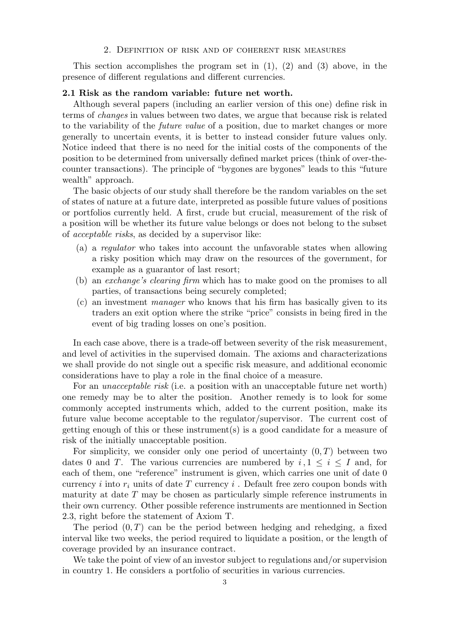# 2. Definition of risk and of coherent risk measures

This section accomplishes the program set in  $(1)$ ,  $(2)$  and  $(3)$  above, in the presence of different regulations and different currencies.

### **2.1 Risk as the random variable: future net worth.**

Although several papers (including an earlier version of this one) define risk in terms of changes in values between two dates, we argue that because risk is related to the variability of the future value of a position, due to market changes or more generally to uncertain events, it is better to instead consider future values only. Notice indeed that there is no need for the initial costs of the components of the position to be determined from universally defined market prices (think of over-thecounter transactions). The principle of "bygones are bygones" leads to this "future wealth" approach.

The basic objects of our study shall therefore be the random variables on the set of states of nature at a future date, interpreted as possible future values of positions or portfolios currently held. A first, crude but crucial, measurement of the risk of a position will be whether its future value belongs or does not belong to the subset of acceptable risks, as decided by a supervisor like:

- (a) a regulator who takes into account the unfavorable states when allowing a risky position which may draw on the resources of the government, for example as a guarantor of last resort;
- (b) an exchange's clearing firm which has to make good on the promises to all parties, of transactions being securely completed;
- (c) an investment manager who knows that his firm has basically given to its traders an exit option where the strike "price" consists in being fired in the event of big trading losses on one's position.

In each case above, there is a trade-off between severity of the risk measurement, and level of activities in the supervised domain. The axioms and characterizations we shall provide do not single out a specific risk measure, and additional economic considerations have to play a role in the final choice of a measure.

For an unacceptable risk (i.e. a position with an unacceptable future net worth) one remedy may be to alter the position. Another remedy is to look for some commonly accepted instruments which, added to the current position, make its future value become acceptable to the regulator/supervisor. The current cost of getting enough of this or these instrument(s) is a good candidate for a measure of risk of the initially unacceptable position.

For simplicity, we consider only one period of uncertainty  $(0, T)$  between two dates 0 and *T*. The various currencies are numbered by  $i, 1 \leq i \leq I$  and, for each of them, one "reference" instrument is given, which carries one unit of date 0 currency *i* into  $r_i$  units of date *T* currency *i*. Default free zero coupon bonds with maturity at date *T* may be chosen as particularly simple reference instruments in their own currency. Other possible reference instruments are mentionned in Section 2.3, right before the statement of Axiom T.

The period  $(0, T)$  can be the period between hedging and rehedging, a fixed interval like two weeks, the period required to liquidate a position, or the length of coverage provided by an insurance contract.

We take the point of view of an investor subject to regulations and/or supervision in country 1*.* He considers a portfolio of securities in various currencies.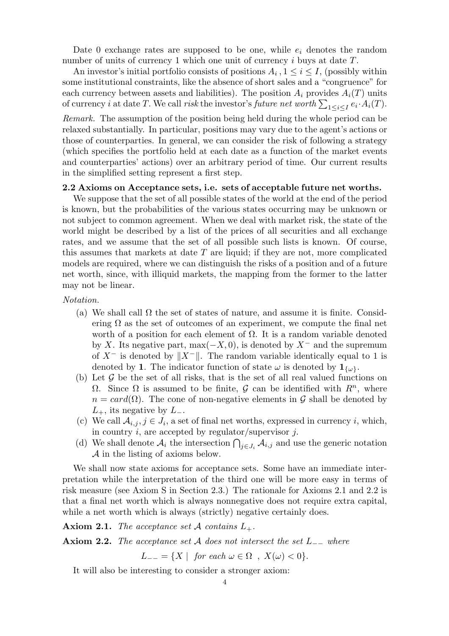Date 0 exchange rates are supposed to be one, while  $e_i$  denotes the random number of units of currency 1 which one unit of currency *i* buys at date *T*.

An investor's initial portfolio consists of positions  $A_i$ ,  $1 \leq i \leq I$ , (possibly within some institutional constraints, like the absence of short sales and a "congruence" for each currency between assets and liabilities). The position  $A_i$  provides  $A_i(T)$  units of currency *i* at date *T*. We call *risk* the investor's *future net worth*  $\sum_{1 \leq i \leq I} e_i \cdot A_i(T)$ *.* 

Remark. The assumption of the position being held during the whole period can be relaxed substantially. In particular, positions may vary due to the agent's actions or those of counterparties. In general, we can consider the risk of following a strategy (which specifies the portfolio held at each date as a function of the market events and counterparties' actions) over an arbitrary period of time. Our current results in the simplified setting represent a first step.

### **2.2 Axioms on Acceptance sets, i.e. sets of acceptable future net worths.**

We suppose that the set of all possible states of the world at the end of the period is known, but the probabilities of the various states occurring may be unknown or not subject to common agreement. When we deal with market risk, the state of the world might be described by a list of the prices of all securities and all exchange rates, and we assume that the set of all possible such lists is known. Of course, this assumes that markets at date *T* are liquid; if they are not, more complicated models are required, where we can distinguish the risks of a position and of a future net worth, since, with illiquid markets, the mapping from the former to the latter may not be linear.

#### Notation.

- (a) We shall call  $\Omega$  the set of states of nature, and assume it is finite. Considering  $\Omega$  as the set of outcomes of an experiment, we compute the final net worth of a position for each element of  $\Omega$ . It is a random variable denoted by *X*. Its negative part, max $(-X, 0)$ , is denoted by  $X^-$  and the supremum of  $X^-$  is denoted by  $||X^-||$ . The random variable identically equal to 1 is denoted by **1**. The indicator function of state  $\omega$  is denoted by  $\mathbf{1}_{\{\omega\}}$ .
- (b) Let  $\mathcal G$  be the set of all risks, that is the set of all real valued functions on  $Ω$ . Since  $Ω$  is assumed to be finite,  $G$  can be identified with  $R^n$ , where  $n = card(\Omega)$ . The cone of non-negative elements in G shall be denoted by *L*+, its negative by *L*−.
- (c) We call  $A_{i,j}, j \in J_i$ , a set of final net worths, expressed in currency *i*, which, in country *i,* are accepted by regulator/supervisor *j.*
- (d) We shall denote  $A_i$  the intersection  $\bigcap_{j\in J_i} A_{i,j}$  and use the generic notation A in the listing of axioms below.

We shall now state axioms for acceptance sets. Some have an immediate interpretation while the interpretation of the third one will be more easy in terms of risk measure (see Axiom S in Section 2.3.) The rationale for Axioms 2.1 and 2.2 is that a final net worth which is always nonnegative does not require extra capital, while a net worth which is always (strictly) negative certainly does.

**Axiom 2.1.** The acceptance set A contains *L*+.

**Axiom 2.2.** The acceptance set A does not intersect the set *L*−− where

 $L_{--} = \{X \mid \text{for each } \omega \in \Omega, X(\omega) < 0\}.$ 

It will also be interesting to consider a stronger axiom: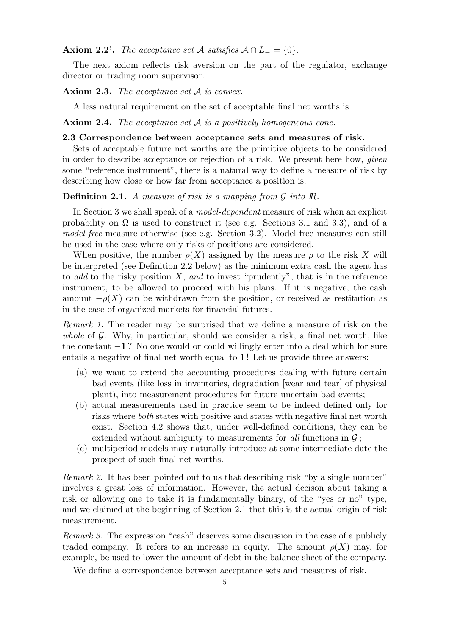**Axiom 2.2'.** The acceptance set A satisfies  $A \cap L = \{0\}.$ 

The next axiom reflects risk aversion on the part of the regulator, exchange director or trading room supervisor.

Axiom 2.3. The acceptance set A is convex.

A less natural requirement on the set of acceptable final net worths is:

**Axiom 2.4.** The acceptance set A is a positively homogeneous cone.

### **2.3 Correspondence between acceptance sets and measures of risk.**

Sets of acceptable future net worths are the primitive objects to be considered in order to describe acceptance or rejection of a risk. We present here how, given some "reference instrument", there is a natural way to define a measure of risk by describing how close or how far from acceptance a position is.

#### **Definition 2.1.** A measure of risk is a mapping from G into *IR*.

In Section 3 we shall speak of a model-dependent measure of risk when an explicit probability on  $\Omega$  is used to construct it (see e.g. Sections 3.1 and 3.3), and of a model-free measure otherwise (see e.g. Section 3.2). Model-free measures can still be used in the case where only risks of positions are considered.

When positive, the number  $\rho(X)$  assigned by the measure  $\rho$  to the risk X will be interpreted (see Definition 2.2 below) as the minimum extra cash the agent has to add to the risky position *X*, and to invest "prudently", that is in the reference instrument, to be allowed to proceed with his plans. If it is negative, the cash amount  $-\rho(X)$  can be withdrawn from the position, or received as restitution as in the case of organized markets for financial futures.

Remark 1. The reader may be surprised that we define a measure of risk on the whole of  $\mathcal G$ . Why, in particular, should we consider a risk, a final net worth, like the constant −**1** ? No one would or could willingly enter into a deal which for sure entails a negative of final net worth equal to 1! Let us provide three answers:

- (a) we want to extend the accounting procedures dealing with future certain bad events (like loss in inventories, degradation [wear and tear] of physical plant), into measurement procedures for future uncertain bad events;
- (b) actual measurements used in practice seem to be indeed defined only for risks where both states with positive and states with negative final net worth exist. Section 4.2 shows that, under well-defined conditions, they can be extended without ambiguity to measurements for all functions in  $\mathcal{G}$ ;
- (c) multiperiod models may naturally introduce at some intermediate date the prospect of such final net worths.

Remark 2. It has been pointed out to us that describing risk "by a single number" involves a great loss of information. However, the actual decison about taking a risk or allowing one to take it is fundamentally binary, of the "yes or no" type, and we claimed at the beginning of Section 2.1 that this is the actual origin of risk measurement.

Remark 3. The expression "cash" deserves some discussion in the case of a publicly traded company. It refers to an increase in equity. The amount  $\rho(X)$  may, for example, be used to lower the amount of debt in the balance sheet of the company.

We define a correspondence between acceptance sets and measures of risk.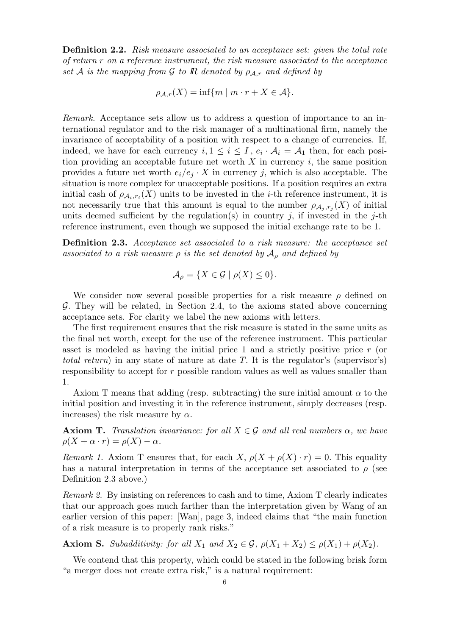**Definition 2.2.** Risk measure associated to an acceptance set: given the total rate of return *r* on a reference instrument, the risk measure associated to the acceptance set A is the mapping from G to **R** denoted by  $\rho_{A,r}$  and defined by

 $\rho_{A,r}(X) = \inf\{m \mid m \cdot r + X \in \mathcal{A}\}.$ 

Remark. Acceptance sets allow us to address a question of importance to an international regulator and to the risk manager of a multinational firm, namely the invariance of acceptability of a position with respect to a change of currencies. If, indeed, we have for each currency  $i, 1 \leq i \leq I$ ,  $e_i \cdot A_i = A_1$  then, for each position providing an acceptable future net worth  $X$  in currency  $i$ , the same position provides a future net worth  $e_i/e_j \cdot X$  in currency *j*, which is also acceptable. The situation is more complex for unacceptable positions. If a position requires an extra initial cash of  $\rho_{\mathcal{A}_i,r_i}(X)$  units to be invested in the *i*-th reference instrument, it is not necessarily true that this amount is equal to the number  $\rho_{\mathcal{A}_i,r_i}(X)$  of initial units deemed sufficient by the regulation(s) in country  $j$ , if invested in the  $j$ -th reference instrument, even though we supposed the initial exchange rate to be 1.

**Definition 2.3.** Acceptance set associated to a risk measure: the acceptance set associated to a risk measure  $\rho$  is the set denoted by  $A_{\rho}$  and defined by

$$
\mathcal{A}_{\rho} = \{ X \in \mathcal{G} \mid \rho(X) \le 0 \}.
$$

We consider now several possible properties for a risk measure  $\rho$  defined on G*.* They will be related, in Section 2.4, to the axioms stated above concerning acceptance sets. For clarity we label the new axioms with letters.

The first requirement ensures that the risk measure is stated in the same units as the final net worth, except for the use of the reference instrument. This particular asset is modeled as having the initial price 1 and a strictly positive price *r* (or total return) in any state of nature at date *T.* It is the regulator's (supervisor's) responsibility to accept for *r* possible random values as well as values smaller than 1*.*

Axiom T means that adding (resp. subtracting) the sure initial amount  $\alpha$  to the initial position and investing it in the reference instrument, simply decreases (resp. increases) the risk measure by *α*.

**Axiom T.** Translation invariance: for all  $X \in \mathcal{G}$  and all real numbers  $\alpha$ , we have  $\rho(X + \alpha \cdot r) = \rho(X) - \alpha$ .

Remark 1. Axiom T ensures that, for each *X*,  $\rho(X + \rho(X) \cdot r) = 0$ . This equality has a natural interpretation in terms of the acceptance set associated to  $\rho$  (see Definition 2.3 above.)

Remark 2. By insisting on references to cash and to time, Axiom T clearly indicates that our approach goes much farther than the interpretation given by Wang of an earlier version of this paper: [Wan], page 3, indeed claims that "the main function of a risk measure is to properly rank risks."

**Axiom S.** Subadditivity: for all  $X_1$  and  $X_2 \in \mathcal{G}$ ,  $\rho(X_1 + X_2) \leq \rho(X_1) + \rho(X_2)$ .

We contend that this property, which could be stated in the following brisk form "a merger does not create extra risk," is a natural requirement: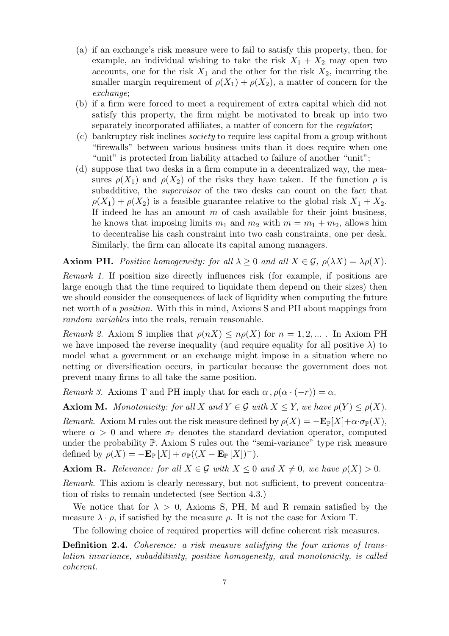- (a) if an exchange's risk measure were to fail to satisfy this property, then, for example, an individual wishing to take the risk  $X_1 + X_2$  may open two accounts, one for the risk  $X_1$  and the other for the risk  $X_2$ , incurring the smaller margin requirement of  $\rho(X_1) + \rho(X_2)$ , a matter of concern for the exchange;
- (b) if a firm were forced to meet a requirement of extra capital which did not satisfy this property, the firm might be motivated to break up into two separately incorporated affiliates, a matter of concern for the regulator;
- (c) bankruptcy risk inclines society to require less capital from a group without "firewalls" between various business units than it does require when one "unit" is protected from liability attached to failure of another "unit";
- (d) suppose that two desks in a firm compute in a decentralized way, the measures  $\rho(X_1)$  and  $\rho(X_2)$  of the risks they have taken. If the function  $\rho$  is subadditive, the supervisor of the two desks can count on the fact that  $\rho(X_1) + \rho(X_2)$  is a feasible guarantee relative to the global risk  $X_1 + X_2$ . If indeed he has an amount *m* of cash available for their joint business, he knows that imposing limits  $m_1$  and  $m_2$  with  $m = m_1 + m_2$ , allows him to decentralise his cash constraint into two cash constraints, one per desk. Similarly, the firm can allocate its capital among managers.

**Axiom PH.** Positive homogeneity: for all  $\lambda \geq 0$  and all  $X \in \mathcal{G}$ ,  $\rho(\lambda X) = \lambda \rho(X)$ .

Remark 1. If position size directly influences risk (for example, if positions are large enough that the time required to liquidate them depend on their sizes) then we should consider the consequences of lack of liquidity when computing the future net worth of a position. With this in mind, Axioms S and PH about mappings from random variables into the reals, remain reasonable.

*Remark 2.* Axiom S implies that  $\rho(nX) \leq n\rho(X)$  for  $n = 1, 2, ...$  In Axiom PH we have imposed the reverse inequality (and require equality for all positive  $\lambda$ ) to model what a government or an exchange might impose in a situation where no netting or diversification occurs, in particular because the government does not prevent many firms to all take the same position.

Remark 3. Axioms T and PH imply that for each  $\alpha$ ,  $\rho(\alpha \cdot (-r)) = \alpha$ .

**Axiom M.** Monotonicity: for all *X* and  $Y \in \mathcal{G}$  with  $X \leq Y$ , we have  $\rho(Y) \leq \rho(X)$ .

Remark. Axiom M rules out the risk measure defined by  $\rho(X) = -\mathbf{E}_{\mathbb{P}}[X] + \alpha \cdot \sigma_{\mathbb{P}}(X)$ , where  $\alpha > 0$  and where  $\sigma_{\mathbb{P}}$  denotes the standard deviation operator, computed under the probability P*.* Axiom S rules out the "semi-variance" type risk measure defined by  $\rho(X) = -\mathbf{E}_{\mathbb{P}}[X] + \sigma_{\mathbb{P}}((X - \mathbf{E}_{\mathbb{P}}[X])^{-}).$ 

**Axiom R.** Relevance: for all  $X \in \mathcal{G}$  with  $X \leq 0$  and  $X \neq 0$ , we have  $\rho(X) > 0$ .

Remark. This axiom is clearly necessary, but not sufficient, to prevent concentration of risks to remain undetected (see Section 4.3.)

We notice that for  $\lambda > 0$ , Axioms S, PH, M and R remain satisfied by the measure  $\lambda \cdot \rho$ , if satisfied by the measure  $\rho$ . It is not the case for Axiom T.

The following choice of required properties will define coherent risk measures.

**Definition 2.4.** Coherence: a risk measure satisfying the four axioms of translation invariance, subadditivity, positive homogeneity, and monotonicity, is called coherent.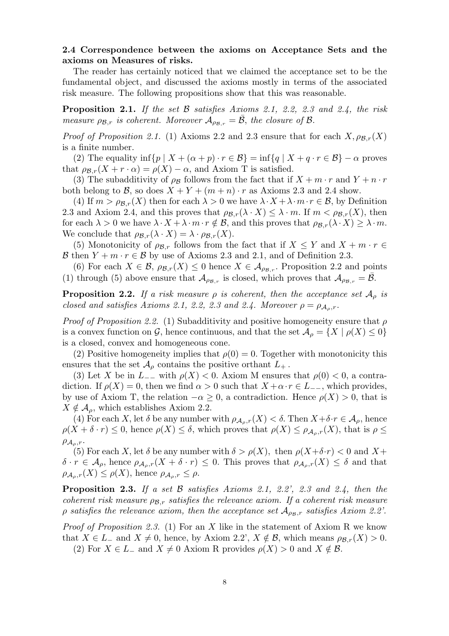## **2.4 Correspondence between the axioms on Acceptance Sets and the axioms on Measures of risks.**

The reader has certainly noticed that we claimed the acceptance set to be the fundamental object, and discussed the axioms mostly in terms of the associated risk measure. The following propositions show that this was reasonable.

**Proposition 2.1.** If the set  $\beta$  satisfies Axioms 2.1, 2.2, 2.3 and 2.4, the risk measure  $\rho_{\mathcal{B},r}$  is coherent. Moreover  $\mathcal{A}_{\rho_{\mathcal{B},r}} = \overline{\mathcal{B}},$  the closure of  $\mathcal{B}$ .

*Proof of Proposition 2.1.* (1) Axioms 2.2 and 2.3 ensure that for each  $X, \rho_{B,r}(X)$ is a finite number.

(2) The equality inf $\{p \mid X + (\alpha + p) \cdot r \in \mathcal{B}\} = \inf \{q \mid X + q \cdot r \in \mathcal{B}\} - \alpha$  proves that  $\rho_{\mathcal{B},r}(X+r\cdot\alpha)=\rho(X)-\alpha$ , and Axiom T is satisfied.

(3) The subadditivity of  $\rho_B$  follows from the fact that if  $X + m \cdot r$  and  $Y + n \cdot r$ both belong to B, so does  $X + Y + (m + n) \cdot r$  as Axioms 2.3 and 2.4 show.

(4) If  $m > \rho_{\mathcal{B},r}(X)$  then for each  $\lambda > 0$  we have  $\lambda \cdot X + \lambda \cdot m \cdot r \in \mathcal{B}$ , by Definition 2.3 and Axiom 2.4, and this proves that  $\rho_{\mathcal{B},r}(\lambda \cdot X) \leq \lambda \cdot m$ . If  $m < \rho_{\mathcal{B},r}(X)$ , then for each  $\lambda > 0$  we have  $\lambda \cdot X + \lambda \cdot m \cdot r \notin \mathcal{B}$ , and this proves that  $\rho_{\mathcal{B},r}(\lambda \cdot X) \geq \lambda \cdot m$ . We conclude that  $\rho_{\mathcal{B},r}(\lambda \cdot X) = \lambda \cdot \rho_{\mathcal{B},r}(X)$ .

(5) Monotonicity of  $\rho_{\mathcal{B},r}$  follows from the fact that if  $X \leq Y$  and  $X + m \cdot r \in$ B then  $Y + m \cdot r \in \mathcal{B}$  by use of Axioms 2.3 and 2.1, and of Definition 2.3.

(6) For each  $X \in \mathcal{B}$ ,  $\rho_{\mathcal{B},r}(X) \leq 0$  hence  $X \in \mathcal{A}_{\rho_{\mathcal{B},r}}$ . Proposition 2.2 and points (1) through (5) above ensure that  $\mathcal{A}_{\rho_{\mathcal{B},r}}$  is closed, which proves that  $\mathcal{A}_{\rho_{\mathcal{B},r}} = \overline{\mathcal{B}}$ .

**Proposition 2.2.** If a risk measure  $\rho$  is coherent, then the acceptance set  $A_{\rho}$  is closed and satisfies Axioms 2.1, 2.2, 2.3 and 2.4. Moreover  $\rho = \rho_{A_\rho,r}$ .

Proof of Proposition 2.2. (1) Subadditivity and positive homogeneity ensure that *ρ* is a convex function on G, hence continuous, and that the set  $\mathcal{A}_{\rho} = \{X \mid \rho(X) \leq 0\}$ is a closed, convex and homogeneous cone.

(2) Positive homogeneity implies that  $\rho(0) = 0$ . Together with monotonicity this ensures that the set  $\mathcal{A}_{\rho}$  contains the positive orthant  $L_{+}$ .

(3) Let *X* be in *L*<sub>−−</sub> with  $\rho(X)$  < 0*.* Axiom M ensures that  $\rho(0)$  < 0*,* a contradiction. If  $\rho(X) = 0$ , then we find  $\alpha > 0$  such that  $X + \alpha \cdot r \in L_{--}$ , which provides, by use of Axiom T, the relation  $-\alpha \geq 0$ , a contradiction. Hence  $\rho(X) > 0$ , that is  $X \notin \mathcal{A}_{\rho}$ , which establishes Axiom 2.2.

(4) For each *X*, let  $\delta$  be any number with  $\rho_{\mathcal{A}_{\rho},r}(X) < \delta$ . Then  $X + \delta \cdot r \in \mathcal{A}_{\rho}$ , hence  $\rho(X + \delta \cdot r) \leq 0$ , hence  $\rho(X) \leq \delta$ , which proves that  $\rho(X) \leq \rho_{\mathcal{A}_{\rho},r}(X)$ , that is  $\rho \leq$ *ρ*A*ρ,r.*

(5) For each *X*, let  $\delta$  be any number with  $\delta > \rho(X)$ , then  $\rho(X + \delta \cdot r) < 0$  and  $X + \delta \cdot r$  $\delta \cdot r \in A_{\rho}$ , hence  $\rho_{A_{\rho},r}(X+\delta \cdot r) \leq 0$ . This proves that  $\rho_{A_{\rho},r}(X) \leq \delta$  and that  $\rho_{\mathcal{A}_{\rho},r}(X) \leq \rho(X)$ , hence  $\rho_{\mathcal{A}_{\rho},r} \leq \rho$ .

**Proposition 2.3.** If a set B satisfies Axioms 2.1, 2.2', 2.3 and 2.4, then the coherent risk measure  $\rho_{\mathcal{B},r}$  satisfies the relevance axiom. If a coherent risk measure *ρ* satisfies the relevance axiom, then the acceptance set  $\mathcal{A}_{\rho_{\mathcal{B}},r}$  satisfies Axiom 2.2'.

Proof of Proposition 2.3. (1) For an *X* like in the statement of Axiom R we know that  $X \in L_{-}$  and  $X \neq 0$ , hence, by Axiom 2.2',  $X \notin \mathcal{B}$ , which means  $\rho_{\mathcal{B},r}(X) > 0$ . (2) For  $X \in L_-$  and  $X \neq 0$  Axiom R provides  $\rho(X) > 0$  and  $X \notin \mathcal{B}$ .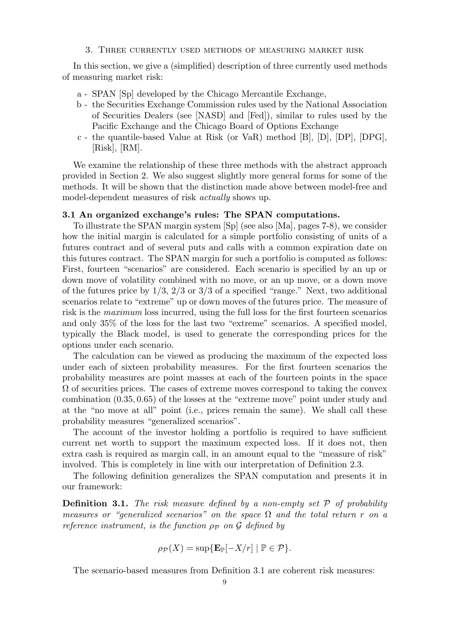# 3. Three currently used methods of measuring market risk

In this section, we give a (simplified) description of three currently used methods of measuring market risk:

- a SPAN [Sp] developed by the Chicago Mercantile Exchange,
- b the Securities Exchange Commission rules used by the National Association of Securities Dealers (see [NASD] and [Fed]), similar to rules used by the Pacific Exchange and the Chicago Board of Options Exchange
- c the quantile-based Value at Risk (or VaR) method [B], [D], [DP], [DPG], [Risk], [RM].

We examine the relationship of these three methods with the abstract approach provided in Section 2. We also suggest slightly more general forms for some of the methods. It will be shown that the distinction made above between model-free and model-dependent measures of risk *actually* shows up.

### **3.1 An organized exchange's rules: The SPAN computations.**

To illustrate the SPAN margin system [Sp] (see also [Ma], pages 7-8), we consider how the initial margin is calculated for a simple portfolio consisting of units of a futures contract and of several puts and calls with a common expiration date on this futures contract. The SPAN margin for such a portfolio is computed as follows: First, fourteen "scenarios" are considered. Each scenario is specified by an up or down move of volatility combined with no move, or an up move, or a down move of the futures price by  $1/3$ ,  $2/3$  or  $3/3$  of a specified "range." Next, two additional scenarios relate to "extreme" up or down moves of the futures price. The measure of risk is the maximum loss incurred, using the full loss for the first fourteen scenarios and only 35% of the loss for the last two "extreme" scenarios. A specified model, typically the Black model, is used to generate the corresponding prices for the options under each scenario.

The calculation can be viewed as producing the maximum of the expected loss under each of sixteen probability measures. For the first fourteen scenarios the probability measures are point masses at each of the fourteen points in the space  $\Omega$  of securities prices. The cases of extreme moves correspond to taking the convex combination (0*.*35*,* 0*.*65) of the losses at the "extreme move" point under study and at the "no move at all" point (i.e., prices remain the same). We shall call these probability measures "generalized scenarios".

The account of the investor holding a portfolio is required to have sufficient current net worth to support the maximum expected loss. If it does not, then extra cash is required as margin call, in an amount equal to the "measure of risk" involved. This is completely in line with our interpretation of Definition 2.3.

The following definition generalizes the SPAN computation and presents it in our framework:

**Definition 3.1.** The risk measure defined by a non-empty set  $P$  of probability measures or "generalized scenarios" on the space  $\Omega$  and the total return r on a reference instrument, is the function  $\rho_{\mathcal{P}}$  on G defined by

$$
\rho_{\mathcal{P}}(X) = \sup \{ \mathbf{E}_{\mathbb{P}}[-X/r] \mid \mathbb{P} \in \mathcal{P} \}.
$$

The scenario-based measures from Definition 3.1 are coherent risk measures: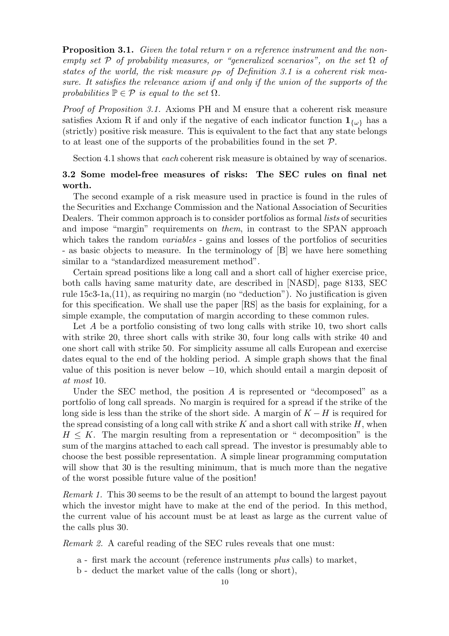**Proposition 3.1.** Given the total return r on a reference instrument and the nonempty set P of probability measures, or "generalized scenarios", on the set  $\Omega$  of states of the world, the risk measure  $\rho_{\mathcal{P}}$  of Definition 3.1 is a coherent risk measure. It satisfies the relevance axiom if and only if the union of the supports of the probabilities  $\mathbb{P} \in \mathcal{P}$  is equal to the set  $\Omega$ .

Proof of Proposition 3.1. Axioms PH and M ensure that a coherent risk measure satisfies Axiom R if and only if the negative of each indicator function  $\mathbf{1}_{\{\omega\}}$  has a (strictly) positive risk measure. This is equivalent to the fact that any state belongs to at least one of the supports of the probabilities found in the set P*.*

Section 4.1 shows that *each* coherent risk measure is obtained by way of scenarios.

## **3.2 Some model-free measures of risks: The SEC rules on final net worth.**

The second example of a risk measure used in practice is found in the rules of the Securities and Exchange Commission and the National Association of Securities Dealers. Their common approach is to consider portfolios as formal *lists* of securities and impose "margin" requirements on them, in contrast to the SPAN approach which takes the random *variables* - gains and losses of the portfolios of securities - as basic objects to measure. In the terminology of [B] we have here something similar to a "standardized measurement method".

Certain spread positions like a long call and a short call of higher exercise price, both calls having same maturity date, are described in [NASD], page 8133, SEC rule 15c3-1a,(11), as requiring no margin (no "deduction"). No justification is given for this specification. We shall use the paper [RS] as the basis for explaining, for a simple example, the computation of margin according to these common rules.

Let *A* be a portfolio consisting of two long calls with strike 10, two short calls with strike 20, three short calls with strike 30, four long calls with strike 40 and one short call with strike 50. For simplicity assume all calls European and exercise dates equal to the end of the holding period. A simple graph shows that the final value of this position is never below  $-10$ , which should entail a margin deposit of at most 10.

Under the SEC method, the position A is represented or "decomposed" as a portfolio of long call spreads. No margin is required for a spread if the strike of the long side is less than the strike of the short side. A margin of *K* − *H* is required for the spread consisting of a long call with strike *K* and a short call with strike *H*, when  $H \leq K$ . The margin resulting from a representation or " decomposition" is the sum of the margins attached to each call spread. The investor is presumably able to choose the best possible representation. A simple linear programming computation will show that 30 is the resulting minimum, that is much more than the negative of the worst possible future value of the position!

Remark 1. This 30 seems to be the result of an attempt to bound the largest payout which the investor might have to make at the end of the period. In this method, the current value of his account must be at least as large as the current value of the calls plus 30.

Remark 2. A careful reading of the SEC rules reveals that one must:

- a first mark the account (reference instruments plus calls) to market,
- b deduct the market value of the calls (long or short),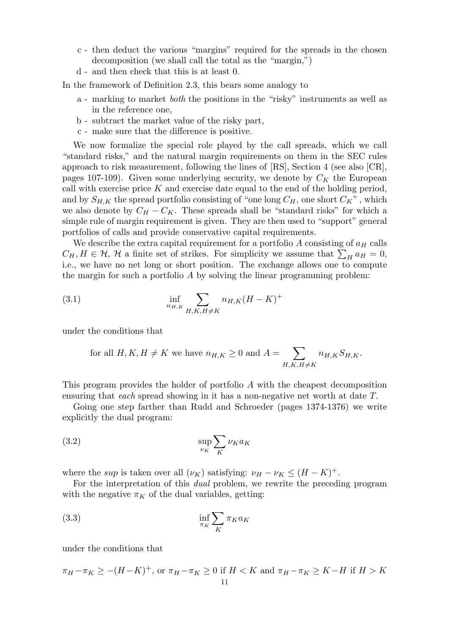- c then deduct the various "margins" required for the spreads in the chosen decomposition (we shall call the total as the "margin,")
- d and then check that this is at least 0*.*

In the framework of Definition 2.3, this bears some analogy to

- a marking to market both the positions in the "risky" instruments as well as in the reference one,
- b subtract the market value of the risky part,
- c make sure that the difference is positive.

We now formalize the special role played by the call spreads, which we call "standard risks," and the natural margin requirements on them in the SEC rules approach to risk measurement, following the lines of [RS], Section 4 (see also [CR], pages 107-109). Given some underlying security, we denote by  $C_K$  the European call with exercise price *K* and exercise date equal to the end of the holding period, and by  $S_{H,K}$  the spread portfolio consisting of "one long  $C_H$ , one short  $C_K$ ", which we also denote by  $C_H - C_K$ . These spreads shall be "standard risks" for which a simple rule of margin requirement is given. They are then used to "support" general portfolios of calls and provide conservative capital requirements.

We describe the extra capital requirement for a portfolio  $A$  consisting of  $a_H$  calls  $C_H$ ,  $H \in \mathcal{H}$ ,  $\mathcal{H}$  a finite set of strikes. For simplicity we assume that  $\sum_H a_H = 0$ , i.e., we have no net long or short position. The exchange allows one to compute the margin for such a portfolio *A* by solving the linear programming problem:

(3.1) 
$$
\inf_{n_{H,K}} \sum_{H,K,H \neq K} n_{H,K}(H - K)^{+}
$$

under the conditions that

for all 
$$
H, K, H \neq K
$$
 we have  $n_{H,K} \geq 0$  and  $A = \sum_{H,K,H \neq K} n_{H,K} S_{H,K}$ .

This program provides the holder of portfolio *A* with the cheapest decomposition ensuring that each spread showing in it has a non-negative net worth at date *T.*

Going one step farther than Rudd and Schroeder (pages 1374-1376) we write explicitly the dual program:

$$
\sup_{\nu_K} \sum_K \nu_K a_K
$$

where the *sup* is taken over all  $(\nu_K)$  satisfying:  $\nu_H - \nu_K \leq (H - K)^+$ .

For the interpretation of this dual problem, we rewrite the preceding program with the negative  $\pi_K$  of the dual variables, getting:

$$
\inf_{\pi_K} \sum_K \pi_K a_K
$$

under the conditions that

$$
\pi_H - \pi_K \ge -(H - K)^+, \text{ or } \pi_H - \pi_K \ge 0 \text{ if } H < K \text{ and } \pi_H - \pi_K \ge K - H \text{ if } H > K
$$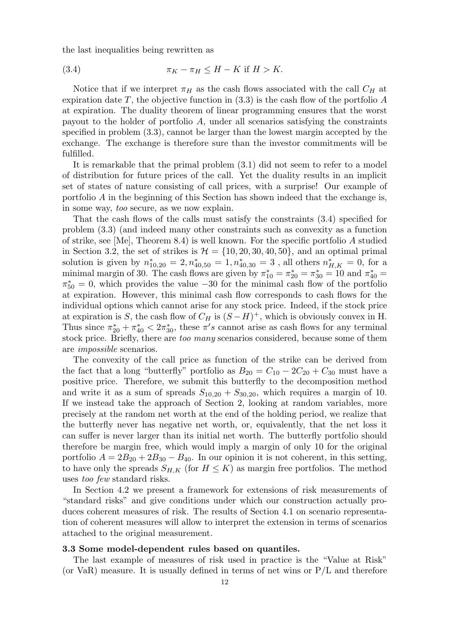the last inequalities being rewritten as

$$
\pi_K - \pi_H \le H - K \text{ if } H > K.
$$

Notice that if we interpret  $\pi_H$  as the cash flows associated with the call  $C_H$  at expiration date *T*, the objective function in (3*.*3) is the cash flow of the portfolio *A* at expiration. The duality theorem of linear programming ensures that the worst payout to the holder of portfolio *A*, under all scenarios satisfying the constraints specified in problem (3*.*3), cannot be larger than the lowest margin accepted by the exchange. The exchange is therefore sure than the investor commitments will be fulfilled.

It is remarkable that the primal problem (3*.*1) did not seem to refer to a model of distribution for future prices of the call. Yet the duality results in an implicit set of states of nature consisting of call prices, with a surprise! Our example of portfolio *A* in the beginning of this Section has shown indeed that the exchange is, in some way, too secure, as we now explain.

That the cash flows of the calls must satisfy the constraints (3*.*4) specified for problem (3*.*3) (and indeed many other constraints such as convexity as a function of strike, see [Me], Theorem 8.4) is well known. For the specific portfolio *A* studied in Section 3.2, the set of strikes is  $\mathcal{H} = \{10, 20, 30, 40, 50\}$ , and an optimal primal solution is given by  $n_{10,20}^* = 2, n_{40,50}^* = 1, n_{40,30}^* = 3$ , all others  $n_{H,K}^* = 0$ , for a minimal margin of 30. The cash flows are given by  $\pi_{10}^* = \pi_{20}^* = \pi_{30}^* = 10$  and  $\pi_{40}^* =$  $\pi_{50}^* = 0$ , which provides the value  $-30$  for the minimal cash flow of the portfolio at expiration. However, this minimal cash flow corresponds to cash flows for the individual options which cannot arise for any stock price. Indeed, if the stock price at expiration is *S*, the cash flow of  $C_H$  is  $(S - H)^+$ , which is obviously convex in H. Thus since  $\pi_{20}^* + \pi_{40}^* < 2\pi_{30}^*$ , these  $\pi's$  cannot arise as cash flows for any terminal stock price. Briefly, there are too many scenarios considered, because some of them are impossible scenarios.

The convexity of the call price as function of the strike can be derived from the fact that a long "butterfly" portfolio as  $B_{20} = C_{10} - 2C_{20} + C_{30}$  must have a positive price. Therefore, we submit this butterfly to the decomposition method and write it as a sum of spreads  $S_{10,20} + S_{30,20}$ , which requires a margin of 10. If we instead take the approach of Section 2, looking at random variables, more precisely at the random net worth at the end of the holding period, we realize that the butterfly never has negative net worth, or, equivalently, that the net loss it can suffer is never larger than its initial net worth. The butterfly portfolio should therefore be margin free, which would imply a margin of only 10 for the original portfolio  $A = 2B_{20} + 2B_{30} - B_{40}$ . In our opinion it is not coherent, in this setting, to have only the spreads  $S_{H,K}$  (for  $H \leq K$ ) as margin free portfolios. The method uses too few standard risks.

In Section 4.2 we present a framework for extensions of risk measurements of "standard risks" and give conditions under which our construction actually produces coherent measures of risk. The results of Section 4.1 on scenario representation of coherent measures will allow to interpret the extension in terms of scenarios attached to the original measurement.

## **3.3 Some model-dependent rules based on quantiles.**

The last example of measures of risk used in practice is the "Value at Risk" (or VaR) measure. It is usually defined in terms of net wins or  $P/L$  and therefore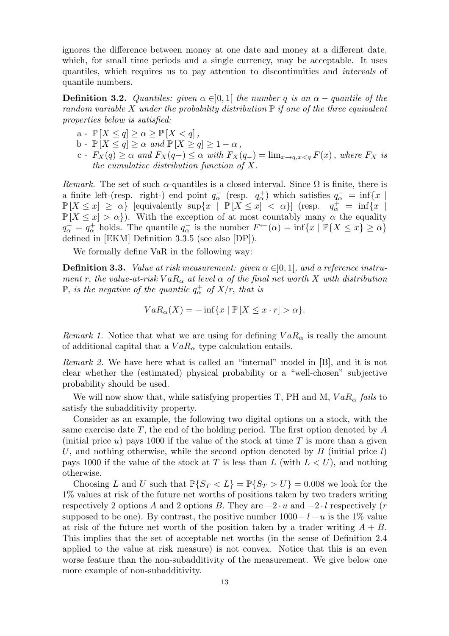ignores the difference between money at one date and money at a different date, which, for small time periods and a single currency, may be acceptable. It uses quantiles, which requires us to pay attention to discontinuities and intervals of quantile numbers.

**Definition 3.2.** Quantiles: given  $\alpha \in ]0,1[$  the number *q* is an  $\alpha$  – quantile of the random variable *X* under the probability distribution  $\mathbb P$  if one of the three equivalent properties below is satisfied:

- $a \mathbb{P}[X \leq q] \geq \alpha \geq \mathbb{P}[X < q],$
- $\mathbb{P}[X \leq q] \geq \alpha$  and  $\mathbb{P}[X \geq q] \geq 1 \alpha$ ,
- c  $F_X(q) \geq \alpha$  and  $F_X(q-) \leq \alpha$  with  $F_X(q-) = \lim_{x \to q, x < q} F(x)$ , where  $F_X$  is the cumulative distribution function of *X*.

*Remark.* The set of such  $\alpha$ -quantiles is a closed interval. Since  $\Omega$  is finite, there is a finite left-(resp. right-) end point  $q_{\alpha}^-$  (resp.  $q_{\alpha}^+$ ) which satisfies  $q_{\alpha}^- = \inf\{x \mid$  $\mathbb{P}[X \leq x] \geq \alpha$  [equivalently  $\sup\{x \mid \mathbb{P}[X \leq x] < \alpha\}$ ] (resp.  $q^+_{\alpha} = \inf\{x \mid x\}$  $\mathbb{P}[X \leq x] > \alpha$ ). With the exception of at most countably many  $\alpha$  the equality  $q_{\alpha}^- = q_{\alpha}^+$  holds. The quantile  $q_{\alpha}^-$  is the number  $F^{\leftarrow}(\alpha) = \inf\{x \mid \mathbb{P}\{X \leq x\} \geq \alpha\}$ defined in [EKM] Definition 3.3.5 (see also [DP]).

We formally define VaR in the following way:

**Definition 3.3.** Value at risk measurement: given  $\alpha \in ]0,1[$ , and a reference instrument *r,* the value-at-risk  $VaR_\alpha$  at level  $\alpha$  of the final net worth  $X$  with distribution  $\mathbb{P},$  *is the negative of the quantile*  $q^{\pm}_{\alpha}$  *of*  $X/r$ *, that is* 

$$
VaR_{\alpha}(X) = -\inf\{x \mid \mathbb{P}[X \le x \cdot r] > \alpha\}.
$$

*Remark 1.* Notice that what we are using for defining  $VaR_\alpha$  is really the amount of additional capital that a *V aR<sup>α</sup>* type calculation entails.

Remark 2. We have here what is called an "internal" model in [B], and it is not clear whether the (estimated) physical probability or a "well-chosen" subjective probability should be used.

We will now show that, while satisfying properties T, PH and M,  $VaR_\alpha$  fails to satisfy the subadditivity property.

Consider as an example, the following two digital options on a stock, with the same exercise date *T*, the end of the holding period. The first option denoted by *A* (initial price  $u$ ) pays 1000 if the value of the stock at time  $T$  is more than a given *U*, and nothing otherwise, while the second option denoted by *B* (initial price *l*) pays 1000 if the value of the stock at *T* is less than *L* (with  $L < U$ ), and nothing otherwise.

Choosing *L* and *U* such that  $\mathbb{P}\{S_T < L\} = \mathbb{P}\{S_T > U\} = 0.008$  we look for the 1% values at risk of the future net worths of positions taken by two traders writing respectively 2 options *A* and 2 options *B*. They are  $-2 \cdot u$  and  $-2 \cdot l$  respectively (*r* supposed to be one). By contrast, the positive number  $1000 - l - u$  is the 1% value at risk of the future net worth of the position taken by a trader writing  $A + B$ . This implies that the set of acceptable net worths (in the sense of Definition 2.4 applied to the value at risk measure) is not convex. Notice that this is an even worse feature than the non-subadditivity of the measurement. We give below one more example of non-subadditivity.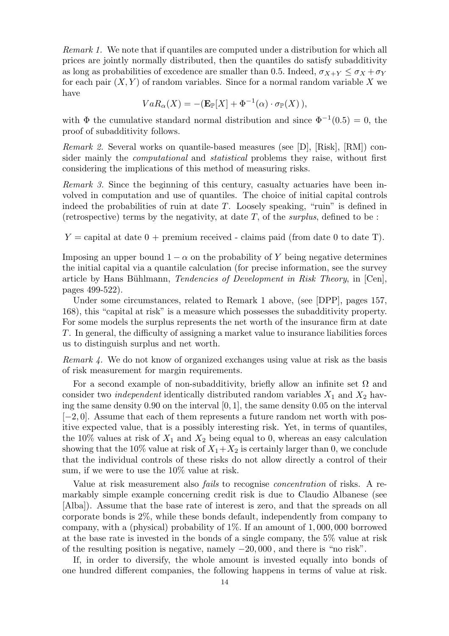Remark 1. We note that if quantiles are computed under a distribution for which all prices are jointly normally distributed, then the quantiles do satisfy subadditivity as long as probabilities of excedence are smaller than 0.5. Indeed,  $\sigma_{X+Y} \leq \sigma_X + \sigma_Y$ for each pair  $(X, Y)$  of random variables. Since for a normal random variable X we have

$$
VaR_{\alpha}(X) = -(\mathbf{E}_{\mathbb{P}}[X] + \Phi^{-1}(\alpha) \cdot \sigma_{\mathbb{P}}(X)),
$$

with  $\Phi$  the cumulative standard normal distribution and since  $\Phi^{-1}(0.5) = 0$ , the proof of subadditivity follows.

Remark 2. Several works on quantile-based measures (see [D], [Risk], [RM]) consider mainly the *computational* and *statistical* problems they raise, without first considering the implications of this method of measuring risks.

Remark 3. Since the beginning of this century, casualty actuaries have been involved in computation and use of quantiles. The choice of initial capital controls indeed the probabilities of ruin at date *T*. Loosely speaking, "ruin" is defined in (retrospective) terms by the negativity, at date  $T$ , of the *surplus*, defined to be:

 $Y =$  capital at date  $0 +$  premium received - claims paid (from date 0 to date T).

Imposing an upper bound  $1 - \alpha$  on the probability of *Y* being negative determines the initial capital via a quantile calculation (for precise information, see the survey article by Hans Bühlmann, Tendencies of Development in Risk Theory, in [Cen], pages 499-522).

Under some circumstances, related to Remark 1 above, (see [DPP], pages 157, 168), this "capital at risk" is a measure which possesses the subadditivity property. For some models the surplus represents the net worth of the insurance firm at date *T*. In general, the difficulty of assigning a market value to insurance liabilities forces us to distinguish surplus and net worth.

Remark 4. We do not know of organized exchanges using value at risk as the basis of risk measurement for margin requirements.

For a second example of non-subadditivity, briefly allow an infinite set  $\Omega$  and consider two *independent* identically distributed random variables  $X_1$  and  $X_2$  having the same density 0*.*90 on the interval [0*,* 1], the same density 0*.*05 on the interval [−2*,* 0]. Assume that each of them represents a future random net worth with positive expected value, that is a possibly interesting risk. Yet, in terms of quantiles, the 10% values at risk of  $X_1$  and  $X_2$  being equal to 0, whereas an easy calculation showing that the 10% value at risk of  $X_1 + X_2$  is certainly larger than 0, we conclude that the individual controls of these risks do not allow directly a control of their sum, if we were to use the 10% value at risk.

Value at risk measurement also fails to recognise concentration of risks. A remarkably simple example concerning credit risk is due to Claudio Albanese (see [Alba]). Assume that the base rate of interest is zero, and that the spreads on all corporate bonds is 2%*,* while these bonds default, independently from company to company, with a (physical) probability of 1%*.* If an amount of 1*,* 000*,* 000 borrowed at the base rate is invested in the bonds of a single company, the 5% value at risk of the resulting position is negative, namely −20*,* 000 *,* and there is "no risk".

If, in order to diversify, the whole amount is invested equally into bonds of one hundred different companies, the following happens in terms of value at risk.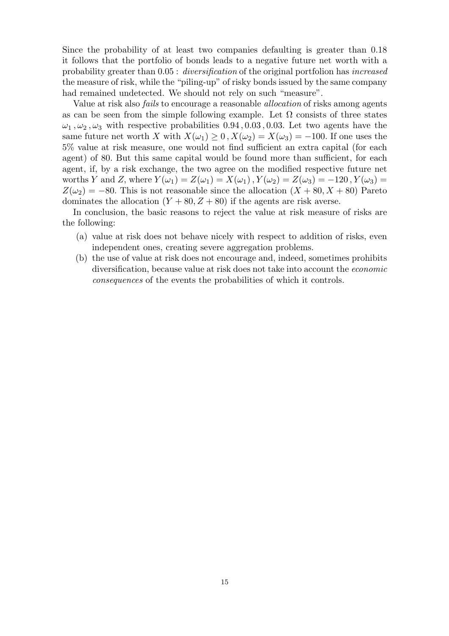Since the probability of at least two companies defaulting is greater than 0*.*18 it follows that the portfolio of bonds leads to a negative future net worth with a probability greater than 0*.*05 : diversification of the original portfolion has increased the measure of risk, while the "piling-up" of risky bonds issued by the same company had remained undetected. We should not rely on such "measure".

Value at risk also *fails* to encourage a reasonable *allocation* of risks among agents as can be seen from the simple following example. Let  $\Omega$  consists of three states  $\omega_1$ ,  $\omega_2$ ,  $\omega_3$  with respective probabilities 0.94, 0.03, 0.03. Let two agents have the same future net worth *X* with  $X(\omega_1) > 0$ ,  $X(\omega_2) = X(\omega_3) = -100$ . If one uses the 5% value at risk measure, one would not find sufficient an extra capital (for each agent) of 80*.* But this same capital would be found more than sufficient, for each agent, if, by a risk exchange, the two agree on the modified respective future net worths *Y* and *Z*, where  $Y(\omega_1) = Z(\omega_1) = X(\omega_1)$ ,  $Y(\omega_2) = Z(\omega_3) = -120$ ,  $Y(\omega_3) =$  $Z(\omega_2) = -80$ . This is not reasonable since the allocation  $(X + 80, X + 80)$  Pareto dominates the allocation  $(Y + 80, Z + 80)$  if the agents are risk averse.

In conclusion, the basic reasons to reject the value at risk measure of risks are the following:

- (a) value at risk does not behave nicely with respect to addition of risks, even independent ones, creating severe aggregation problems.
- (b) the use of value at risk does not encourage and, indeed, sometimes prohibits diversification, because value at risk does not take into account the economic consequences of the events the probabilities of which it controls.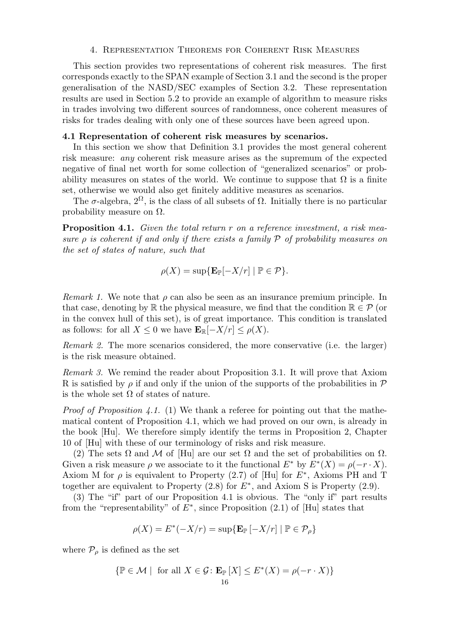# 4. Representation Theorems for Coherent Risk Measures

This section provides two representations of coherent risk measures. The first corresponds exactly to the SPAN example of Section 3.1 and the second is the proper generalisation of the NASD/SEC examples of Section 3*.*2. These representation results are used in Section 5.2 to provide an example of algorithm to measure risks in trades involving two different sources of randomness, once coherent measures of risks for trades dealing with only one of these sources have been agreed upon.

## **4.1 Representation of coherent risk measures by scenarios.**

In this section we show that Definition 3.1 provides the most general coherent risk measure: any coherent risk measure arises as the supremum of the expected negative of final net worth for some collection of "generalized scenarios" or probability measures on states of the world. We continue to suppose that  $\Omega$  is a finite set, otherwise we would also get finitely additive measures as scenarios.

The  $\sigma$ -algebra,  $2^{\Omega}$ , is the class of all subsets of  $\Omega$ . Initially there is no particular probability measure on  $\Omega$ .

**Proposition 4.1.** Given the total return r on a reference investment, a risk measure *ρ* is coherent if and only if there exists a family P of probability measures on the set of states of nature, such that

$$
\rho(X) = \sup \{ \mathbf{E}_{\mathbb{P}}[-X/r] \mid \mathbb{P} \in \mathcal{P} \}.
$$

*Remark 1.* We note that  $\rho$  can also be seen as an insurance premium principle. In that case, denoting by R the physical measure, we find that the condition  $\mathbb{R} \in \mathcal{P}$  (or in the convex hull of this set), is of great importance. This condition is translated as follows: for all  $X \leq 0$  we have  $\mathbf{E}_{\mathbb{R}}[-X/r] \leq \rho(X)$ .

Remark 2. The more scenarios considered, the more conservative (i.e. the larger) is the risk measure obtained.

Remark 3. We remind the reader about Proposition 3.1. It will prove that Axiom R is satisfied by  $\rho$  if and only if the union of the supports of the probabilities in  $\mathcal P$ is the whole set  $\Omega$  of states of nature.

*Proof of Proposition 4.1.* (1) We thank a referee for pointing out that the mathematical content of Proposition 4.1, which we had proved on our own, is already in the book [Hu]. We therefore simply identify the terms in Proposition 2, Chapter 10 of [Hu] with these of our terminology of risks and risk measure.

(2) The sets  $\Omega$  and  $\mathcal M$  of [Hu] are our set  $\Omega$  and the set of probabilities on  $\Omega$ . Given a risk measure  $\rho$  we associate to it the functional  $E^*$  by  $E^*(X) = \rho(-r \cdot X)$ . Axiom M for  $\rho$  is equivalent to Property (2.7) of [Hu] for  $E^*$ , Axioms PH and T together are equivalent to Property (2.8) for *E*∗*,* and Axiom S is Property (2.9).

(3) The "if" part of our Proposition 4.1 is obvious. The "only if" part results from the "representability" of  $E^*$ , since Proposition (2.1) of [Hu] states that

$$
\rho(X)=E^*(-X/r)=\sup\{\mathbf{E}_{\mathbb{P}}\left[-X/r\right]\mid \mathbb{P}\in \mathcal{P}_\rho\}
$$

where  $\mathcal{P}_{\rho}$  is defined as the set

$$
\{\mathbb{P} \in \mathcal{M} \mid \text{ for all } X \in \mathcal{G} \colon \mathbf{E}_{\mathbb{P}}[X] \le E^*(X) = \rho(-r \cdot X)\}
$$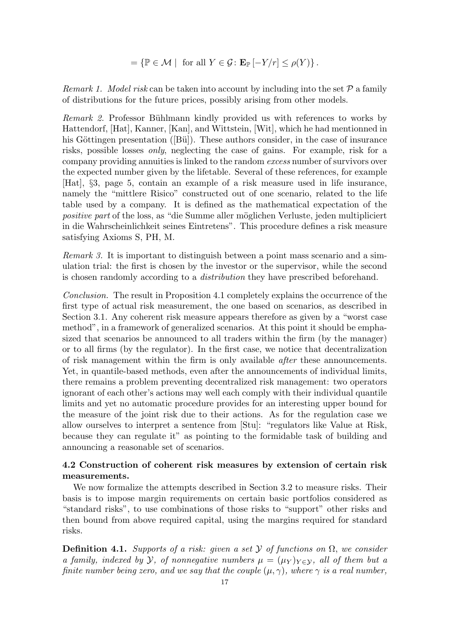$$
= \{ \mathbb{P} \in \mathcal{M} \mid \text{ for all } Y \in \mathcal{G} \colon \mathbf{E}_{\mathbb{P}} \left[ -Y/r \right] \le \rho(Y) \}.
$$

Remark 1. Model risk can be taken into account by including into the set  $\mathcal{P}$  a family of distributions for the future prices, possibly arising from other models.

Remark 2. Professor Bühlmann kindly provided us with references to works by Hattendorf, [Hat], Kanner, [Kan], and Wittstein, [Wit], which he had mentionned in his Göttingen presentation ( $[B\ddot{u}]$ ). These authors consider, in the case of insurance risks, possible losses only, neglecting the case of gains. For example, risk for a company providing annuities is linked to the random excess number of survivors over the expected number given by the lifetable. Several of these references, for example [Hat], §3, page 5, contain an example of a risk measure used in life insurance, namely the "mittlere Risico" constructed out of one scenario, related to the life table used by a company. It is defined as the mathematical expectation of the positive part of the loss, as "die Summe aller möglichen Verluste, jeden multipliciert in die Wahrscheinlichkeit seines Eintretens". This procedure defines a risk measure satisfying Axioms S, PH, M.

Remark 3. It is important to distinguish between a point mass scenario and a simulation trial: the first is chosen by the investor or the supervisor, while the second is chosen randomly according to a distribution they have prescribed beforehand.

Conclusion. The result in Proposition 4.1 completely explains the occurrence of the first type of actual risk measurement, the one based on scenarios, as described in Section 3.1. Any coherent risk measure appears therefore as given by a "worst case method", in a framework of generalized scenarios. At this point it should be emphasized that scenarios be announced to all traders within the firm (by the manager) or to all firms (by the regulator). In the first case, we notice that decentralization of risk management within the firm is only available after these announcements. Yet, in quantile-based methods, even after the announcements of individual limits, there remains a problem preventing decentralized risk management: two operators ignorant of each other's actions may well each comply with their individual quantile limits and yet no automatic procedure provides for an interesting upper bound for the measure of the joint risk due to their actions. As for the regulation case we allow ourselves to interpret a sentence from [Stu]: "regulators like Value at Risk, because they can regulate it" as pointing to the formidable task of building and announcing a reasonable set of scenarios.

# **4.2 Construction of coherent risk measures by extension of certain risk measurements.**

We now formalize the attempts described in Section 3.2 to measure risks. Their basis is to impose margin requirements on certain basic portfolios considered as "standard risks", to use combinations of those risks to "support" other risks and then bound from above required capital, using the margins required for standard risks.

**Definition 4.1.** Supports of a risk: given a set  $\mathcal{Y}$  of functions on  $\Omega$ , we consider a family, indexed by  $\mathcal{Y}$ , of nonnegative numbers  $\mu = (\mu_Y)_{Y \in \mathcal{Y}}$ , all of them but a finite number being zero, and we say that the couple  $(\mu, \gamma)$ , where  $\gamma$  is a real number,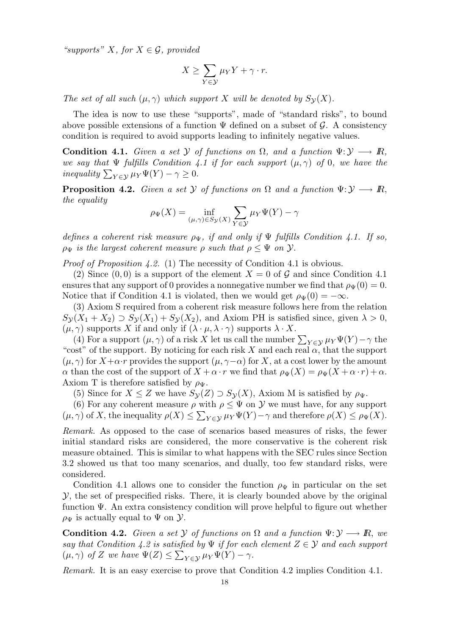"supports"  $X$ , for  $X \in \mathcal{G}$ , provided

$$
X \ge \sum_{Y \in \mathcal{Y}} \mu_Y Y + \gamma \cdot r.
$$

The set of all such  $(\mu, \gamma)$  which support *X* will be denoted by  $S_{\mathcal{V}}(X)$ .

The idea is now to use these "supports", made of "standard risks", to bound above possible extensions of a function  $\Psi$  defined on a subset of G. A consistency condition is required to avoid supports leading to infinitely negative values.

**Condition 4.1.** Given a set Y of functions on  $\Omega$ , and a function  $\Psi: \mathcal{Y} \longrightarrow \mathbb{R}$ , we say that  $\Psi$  fulfills Condition 4.1 if for each support  $(\mu, \gamma)$  of 0, we have the  $inequality \sum_{Y \in \mathcal{Y}} \mu_Y \Psi(Y) - \gamma \geq 0.$ 

**Proposition 4.2.** Given a set Y of functions on  $\Omega$  and a function  $\Psi: \mathcal{Y} \longrightarrow \mathbb{R}$ , the equality

$$
\rho_{\Psi}(X) = \inf_{(\mu,\gamma) \in S_{\mathcal{Y}}(X)} \sum_{Y \in \mathcal{Y}} \mu_Y \Psi(Y) - \gamma
$$

defines a coherent risk measure  $\rho_{\Psi}$ , if and only if  $\Psi$  fulfills Condition 4.1. If so,  $\rho_{\Psi}$  is the largest coherent measure  $\rho$  such that  $\rho \leq \Psi$  on  $\mathcal{Y}$ .

Proof of Proposition 4.2. (1) The necessity of Condition 4.1 is obvious.

(2) Since  $(0,0)$  is a support of the element  $X = 0$  of  $\mathcal G$  and since Condition 4.1 ensures that any support of 0 provides a nonnegative number we find that  $\rho_{\Psi}(0) = 0$ . Notice that if Condition 4.1 is violated, then we would get  $\rho_{\Psi}(0) = -\infty$ .

(3) Axiom S required from a coherent risk measure follows here from the relation  $S_{\mathcal{V}}(X_1 + X_2) \supset S_{\mathcal{V}}(X_1) + S_{\mathcal{V}}(X_2)$ , and Axiom PH is satisfied since, given  $\lambda > 0$ ,  $(\mu, \gamma)$  supports *X* if and only if  $(\lambda \cdot \mu, \lambda \cdot \gamma)$  supports  $\lambda \cdot X$ .

(4) For a support  $(\mu, \gamma)$  of a risk *X* let us call the number  $\sum_{Y \in \mathcal{Y}} \mu_Y \Psi(Y) - \gamma$  the "cost" of the support. By noticing for each risk X and each real  $\alpha$ , that the support  $(\mu, \gamma)$  for  $X + \alpha \cdot r$  provides the support  $(\mu, \gamma - \alpha)$  for X, at a cost lower by the amount *α* than the cost of the support of  $X + \alpha \cdot r$  we find that  $\rho_{\Psi}(X) = \rho_{\Psi}(X + \alpha \cdot r) + \alpha$ . Axiom T is therefore satisfied by  $\rho_{\Psi}$ .

(5) Since for  $X \leq Z$  we have  $S_{\mathcal{Y}}(Z) \supset S_{\mathcal{Y}}(X)$ , Axiom M is satisfied by  $\rho_{\Psi}$ .

(6) For any coherent measure  $\rho$  with  $\rho \leq \Psi$  on  $\mathcal Y$  we must have, for any support  $(\mu, \gamma)$  of *X*, the inequality  $\rho(X) \le \sum_{Y \in \mathcal{Y}} \mu_Y \Psi(Y) - \gamma$  and therefore  $\rho(X) \le \rho_{\Psi}(X)$ .

Remark. As opposed to the case of scenarios based measures of risks, the fewer initial standard risks are considered, the more conservative is the coherent risk measure obtained. This is similar to what happens with the SEC rules since Section 3.2 showed us that too many scenarios, and dually, too few standard risks, were considered.

Condition 4.1 allows one to consider the function  $\rho_{\Psi}$  in particular on the set  $\mathcal{Y}$ , the set of prespecified risks. There, it is clearly bounded above by the original function Ψ. An extra consistency condition will prove helpful to figure out whether  $\rho_{\Psi}$  is actually equal to  $\Psi$  on  $\mathcal{Y}$ .

**Condition 4.2.** Given a set Y of functions on  $\Omega$  and a function  $\Psi: Y \longrightarrow \mathbb{R}$ , we say that Condition 4.2 is satisfied by  $\Psi$  if for each element  $Z \in \mathcal{Y}$  and each support  $(\mu, \gamma)$  of *Z* we have  $\Psi(Z) \le \sum_{Y \in \mathcal{Y}} \mu_Y \Psi(Y) - \gamma$ .

Remark. It is an easy exercise to prove that Condition 4.2 implies Condition 4.1.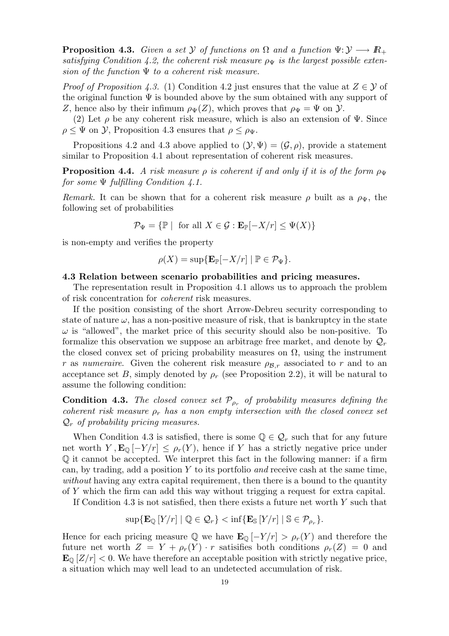**Proposition 4.3.** Given a set Y of functions on  $\Omega$  and a function  $\Psi: \mathcal{Y} \longrightarrow \mathbb{R}_+$ satisfying Condition 4.2, the coherent risk measure  $\rho_{\Psi}$  is the largest possible extension of the function  $\Psi$  to a coherent risk measure.

*Proof of Proposition 4.3.* (1) Condition 4.2 just ensures that the value at  $Z \in \mathcal{Y}$  of the original function  $\Psi$  is bounded above by the sum obtained with any support of *Z*, hence also by their infimum  $\rho_{\Psi}(Z)$ , which proves that  $\rho_{\Psi} = \Psi$  on  $\mathcal{Y}$ .

(2) Let  $\rho$  be any coherent risk measure, which is also an extension of  $\Psi$ . Since  $\rho \leq \Psi$  on *Y*, Proposition 4.3 ensures that  $\rho \leq \rho_{\Psi}$ .

Propositions 4.2 and 4.3 above applied to  $(\mathcal{Y}, \Psi) = (\mathcal{G}, \rho)$ , provide a statement similar to Proposition 4.1 about representation of coherent risk measures.

**Proposition 4.4.** A risk measure  $\rho$  is coherent if and only if it is of the form  $\rho_{\Psi}$ for some  $\Psi$  fulfilling Condition 4.1.

Remark. It can be shown that for a coherent risk measure  $\rho$  built as a  $\rho_{\Psi}$ , the following set of probabilities

$$
\mathcal{P}_{\Psi} = \{ \mathbb{P} \mid \text{ for all } X \in \mathcal{G} : \mathbf{E}_{\mathbb{P}}[-X/r] \leq \Psi(X) \}
$$

is non-empty and verifies the property

$$
\rho(X) = \sup \{ \mathbf{E}_{\mathbb{P}}[-X/r] \mid \mathbb{P} \in \mathcal{P}_{\Psi} \}.
$$

#### **4.3 Relation between scenario probabilities and pricing measures.**

The representation result in Proposition 4.1 allows us to approach the problem of risk concentration for coherent risk measures.

If the position consisting of the short Arrow-Debreu security corresponding to state of nature  $\omega$ , has a non-positive measure of risk, that is bankruptcy in the state  $\omega$  is "allowed", the market price of this security should also be non-positive. To formalize this observation we suppose an arbitrage free market, and denote by  $\mathcal{Q}_r$ the closed convex set of pricing probability measures on  $\Omega$ , using the instrument *r* as *numeraire*. Given the coherent risk measure  $\rho_{\mathcal{B},r}$  associated to *r* and to an acceptance set *B*, simply denoted by  $\rho_r$  (see Proposition 2.2), it will be natural to assume the following condition:

**Condition 4.3.** The closed convex set  $\mathcal{P}_{\rho_r}$  of probability measures defining the coherent risk measure  $\rho_r$  has a non empty intersection with the closed convex set  $\mathcal{Q}_r$  of probability pricing measures.

When Condition 4.3 is satisfied, there is some  $\mathbb{Q} \in \mathcal{Q}_r$  such that for any future net worth *Y*,  $\mathbf{E}_{\mathbb{Q}}[-Y/r] \leq \rho_r(Y)$ , hence if *Y* has a strictly negative price under  $\mathbb Q$  it cannot be accepted. We interpret this fact in the following manner: if a firm can, by trading, add a position *Y* to its portfolio and receive cash at the same time, without having any extra capital requirement, then there is a bound to the quantity of *Y* which the firm can add this way without trigging a request for extra capital.

If Condition 4.3 is not satisfied, then there exists a future net worth *Y* such that

$$
\sup \{ \mathbf{E}_{\mathbb{Q}} \left[ Y/r \right] \mid \mathbb{Q} \in \mathcal{Q}_r \} < \inf \{ \mathbf{E}_{\mathbb{S}} \left[ Y/r \right] \mid \mathbb{S} \in \mathcal{P}_{\rho_r} \}.
$$

Hence for each pricing measure  $\mathbb{Q}$  we have  $\mathbf{E}_{\mathbb{Q}}$  [−*Y/r*]  $> \rho_r(Y)$  and therefore the future net worth  $Z = Y + \rho_r(Y) \cdot r$  satisifies both conditions  $\rho_r(Z) = 0$  and  $\mathbf{E}_{\mathbf{Q}}[Z/r] < 0$ . We have therefore an acceptable position with strictly negative price, a situation which may well lead to an undetected accumulation of risk.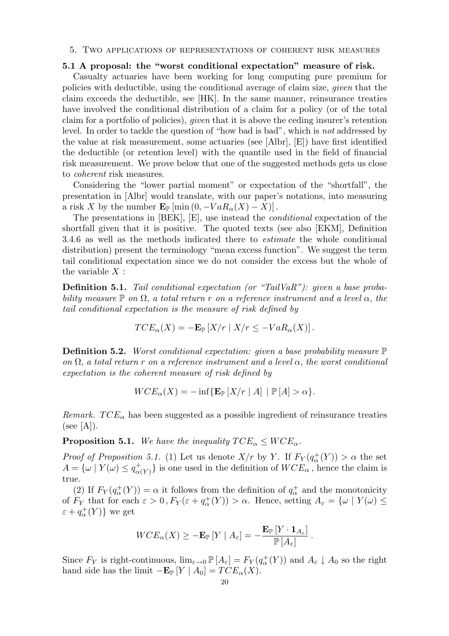5. Two applications of representations of coherent risk measures

### **5.1 A proposal: the "worst conditional expectation" measure of risk.**

Casualty actuaries have been working for long computing pure premium for policies with deductible, using the conditional average of claim size, given that the claim exceeds the deductible, see [HK]. In the same manner, reinsurance treaties have involved the conditional distribution of a claim for a policy (or of the total claim for a portfolio of policies), given that it is above the ceding insurer's retention level. In order to tackle the question of "how bad is bad", which is not addressed by the value at risk measurement, some actuaries (see [Albr], [E]) have first identified the deductible (or retention level) with the quantile used in the field of financial risk measurement. We prove below that one of the suggested methods gets us close to coherent risk measures.

Considering the "lower partial moment" or expectation of the "shortfall", the presentation in [Albr] would translate, with our paper's notations, into measuring a risk *X* by the number  $\mathbf{E}_{\mathbb{P}}$  [min  $(0, -VaR_{\alpha}(X) - X)$ ].

The presentations in [BEK], [E], use instead the conditional expectation of the shortfall given that it is positive. The quoted texts (see also [EKM], Definition 3*.*4*.*6 as well as the methods indicated there to estimate the whole conditional distribution) present the terminology "mean excess function". We suggest the term tail conditional expectation since we do not consider the excess but the whole of the variable *X* :

**Definition 5.1.** Tail conditional expectation (or "TailVaR"): given a base probability measure  $\mathbb P$  on  $\Omega$ , a total return r on a reference instrument and a level  $\alpha$ , the tail conditional expectation is the measure of risk defined by

$$
TCE_{\alpha}(X) = -\mathbf{E}_{\mathbb{P}}\left[X/r \mid X/r \leq -VaR_{\alpha}(X)\right].
$$

**Definition 5.2.** Worst conditional expectation: given a base probability measure  $\mathbb{P}$ on  $\Omega$ , a total return r on a reference instrument and a level  $\alpha$ , the worst conditional expectation is the coherent measure of risk defined by

$$
WCE_{\alpha}(X) = -\inf \{ \mathbf{E}_{\mathbb{P}} \left[ X/r \mid A \right] \mid \mathbb{P}[A] > \alpha \}.
$$

*Remark.*  $TCE_{\alpha}$  has been suggested as a possible ingredient of reinsurance treaties  $(see [A]).$ 

**Proposition 5.1.** We have the inequality  $TCE_{\alpha} \leq WCE_{\alpha}$ .

*Proof of Proposition 5.1.* (1) Let us denote  $X/r$  by *Y*. If  $F_Y(q_\alpha^+(Y)) > \alpha$  the set  $A = \{\omega \mid Y(\omega) \leq q_{\alpha(Y)}^+\}$  is one used in the definition of  $WCE_{\alpha}$ , hence the claim is true.

(2) If  $F_Y(q_\alpha^+(Y)) = \alpha$  it follows from the definition of  $q_\alpha^+$  and the monotonicity of  $F_Y$  that for each  $\varepsilon > 0$ ,  $F_Y(\varepsilon + q_\alpha^+(Y)) > \alpha$ . Hence, setting  $A_\varepsilon = {\omega \mid Y(\omega) \le \alpha}$  $\varepsilon + q_\alpha^+(Y)$ } we get

$$
WCE_{\alpha}(X) \geq -\mathbf{E}_{\mathbb{P}}\left[Y \mid A_{\varepsilon}\right] = -\frac{\mathbf{E}_{\mathbb{P}}\left[Y \cdot \mathbf{1}_{A_{\varepsilon}}\right]}{\mathbb{P}\left[A_{\varepsilon}\right]}.
$$

Since  $F_Y$  is right-continuous,  $\lim_{\varepsilon \to 0} \mathbb{P}[A_{\varepsilon}] = F_Y(q_{\alpha}^+(Y))$  and  $A_{\varepsilon} \downarrow A_0$  so the right hand side has the limit  $-\mathbf{E}_{\mathbb{P}}[Y \mid A_0] = TCE_\alpha(X)$ .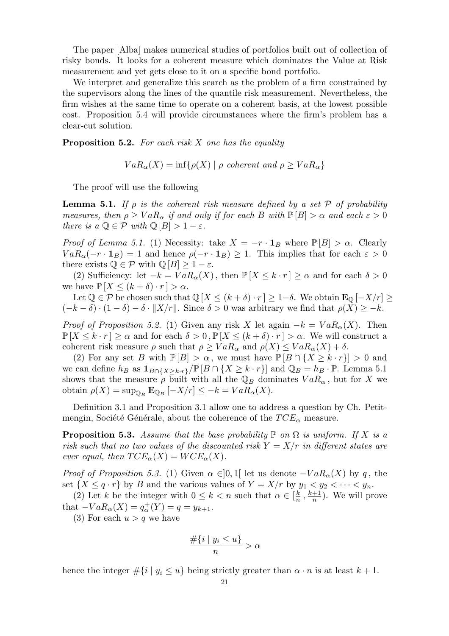The paper [Alba] makes numerical studies of portfolios built out of collection of risky bonds. It looks for a coherent measure which dominates the Value at Risk measurement and yet gets close to it on a specific bond portfolio.

We interpret and generalize this search as the problem of a firm constrained by the supervisors along the lines of the quantile risk measurement. Nevertheless, the firm wishes at the same time to operate on a coherent basis, at the lowest possible cost. Proposition 5.4 will provide circumstances where the firm's problem has a clear-cut solution.

**Proposition 5.2.** For each risk *X* one has the equality

 $VaR_{\alpha}(X) = \inf \{ \rho(X) \mid \rho \text{ coherent and } \rho \geq VaR_{\alpha} \}$ 

The proof will use the following

**Lemma 5.1.** If  $\rho$  is the coherent risk measure defined by a set  $P$  of probability *measures, then*  $\rho \geq VaR_{\alpha}$  *if and only if for each B with*  $\mathbb{P}[B] > \alpha$  *and each*  $\varepsilon > 0$ there is  $a \mathbb{Q} \in \mathcal{P}$  with  $\mathbb{Q}[B] > 1 - \varepsilon$ .

*Proof of Lemma 5.1.* (1) Necessity: take  $X = -r \cdot \mathbf{1}_B$  where  $\mathbb{P}[B] > \alpha$ . Clearly  $VaR_{\alpha}(-r \cdot \mathbf{1}_B) = 1$  and hence  $\rho(-r \cdot \mathbf{1}_B) \geq 1$ . This implies that for each  $\varepsilon > 0$ there exists  $\mathbb{Q} \in \mathcal{P}$  with  $\mathbb{Q}[B] \geq 1 - \varepsilon$ .

(2) Sufficiency: let  $-k = VaR_\alpha(X)$ , then  $\mathbb{P}[X \leq k \cdot r] \geq \alpha$  and for each  $\delta > 0$ we have  $\mathbb{P}[X \leq (k+\delta) \cdot r] > \alpha$ .

Let  $Q ∈ P$  be chosen such that  $Q[X \leq (k + \delta) \cdot r] \geq 1-\delta$ . We obtain  $\mathbf{E}_Q [-X/r] \geq$  $(-k - \delta) \cdot (1 - \delta) - \delta \cdot ||X/r||$ . Since  $\delta > 0$  was arbitrary we find that  $\rho(X) \geq -k$ .

*Proof of Proposition 5.2.* (1) Given any risk *X* let again  $-k = VaR_\alpha(X)$ . Then  $\mathbb{P}[X \leq k \cdot r] \geq \alpha$  and for each  $\delta > 0$ ,  $\mathbb{P}[X \leq (k+\delta) \cdot r] > \alpha$ . We will construct a coherent risk measure  $\rho$  such that  $\rho \geq VaR_\alpha$  and  $\rho(X) \leq VaR_\alpha(X) + \delta$ .

(2) For any set *B* with  $\mathbb{P}[B] > \alpha$ , we must have  $\mathbb{P}[B \cap \{X \geq k \cdot r\}] > 0$  and we can define  $h_B$  as  $\mathbf{1}_{B \cap \{X > k \cdot r\}}/P[B \cap \{X \geq k \cdot r\}]$  and  $\mathbb{Q}_B = h_B \cdot P$ . Lemma 5.1 shows that the measure  $\rho$  built with all the  $\mathbb{Q}_B$  dominates  $VaR_\alpha$ , but for *X* we  $\text{obtain } \rho(X) = \text{sup}_{\mathbb{Q}_B} \mathbf{E}_{\mathbb{Q}_B} [-X/r] \leq -k = VaR_\alpha(X).$ 

Definition 3.1 and Proposition 3.1 allow one to address a question by Ch. Petitmengin, Société Générale, about the coherence of the  $TCE_\alpha$  measure.

**Proposition 5.3.** Assume that the base probability  $\mathbb P$  on  $\Omega$  is uniform. If X is a risk such that no two values of the discounted risk  $Y = X/r$  in different states are *ever equal, then*  $TCE_{\alpha}(X) = WCE_{\alpha}(X)$ .

*Proof of Proposition 5.3.* (1) Given  $\alpha \in ]0,1]$  let us denote  $-VaR_{\alpha}(X)$  by q, the set  $\{X \le q \cdot r\}$  by *B* and the various values of  $Y = X/r$  by  $y_1 < y_2 < \cdots < y_n$ .

(2) Let *k* be the integer with  $0 \leq k < n$  such that  $\alpha \in \left[\frac{k}{n}, \frac{k+1}{n}\right)$ . We will prove that  $-VaR_{\alpha}(X) = q_{\alpha}^{+}(Y) = q = y_{k+1}.$ 

(3) For each  $u > q$  we have

$$
\frac{\#\{i \mid y_i \le u\}}{n} > \alpha
$$

hence the integer  $\#\{i \mid y_i \leq u\}$  being strictly greater than  $\alpha \cdot n$  is at least  $k+1$ .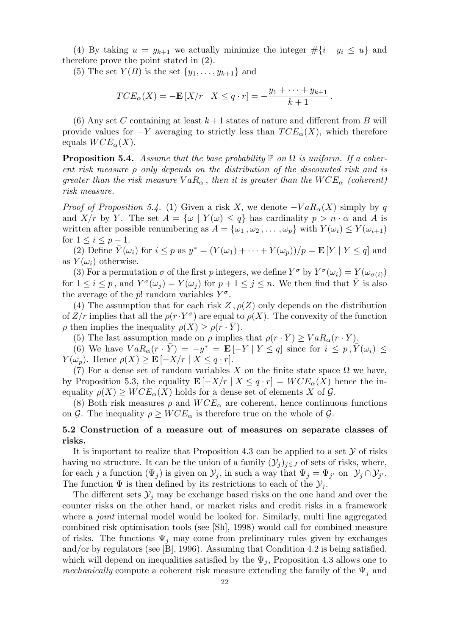(4) By taking  $u = y_{k+1}$  we actually minimize the integer  $\#\{i \mid y_i \leq u\}$  and therefore prove the point stated in (2).

(5) The set  $Y(B)$  is the set  $\{y_1, \ldots, y_{k+1}\}\$  and

$$
TCE_{\alpha}(X) = -\mathbf{E}[X/r \mid X \leq q \cdot r] = -\frac{y_1 + \dots + y_{k+1}}{k+1}.
$$

(6) Any set C containing at least  $k+1$  states of nature and different from B will provide values for  $-Y$  averaging to strictly less than  $TCE_{\alpha}(X)$ , which therefore equals  $WCE_{\alpha}(X)$ .

**Proposition 5.4.** Assume that the base probability  $\mathbb P$  on  $\Omega$  is uniform. If a coherent risk measure *ρ* only depends on the distribution of the discounted risk and is greater than the risk measure  $VaR_\alpha$ , then it is greater than the  $WCE_\alpha$  (coherent) risk measure.

*Proof of Proposition 5.4.* (1) Given a risk *X*, we denote  $-VaR_\alpha(X)$  simply by q and *X/r* by *Y*. The set  $A = \{\omega \mid Y(\omega) \leq q\}$  has cardinality  $p > n \cdot \alpha$  and A is written after possible renumbering as  $A = {\omega_1, \omega_2, \dots, \omega_p}$  with  $Y(\omega_i) \le Y(\omega_{i+1})$ for  $1 \leq i \leq p-1$ .

(2) Define  $\overline{Y}(\omega_i)$  for  $i \leq p$  as  $y^* = (Y(\omega_1) + \cdots + Y(\omega_p))/p = \mathbf{E}[Y | Y \leq q]$  and as  $Y(\omega_i)$  otherwise.

(3) For a permutation  $\sigma$  of the first *p* integers, we define  $Y^{\sigma}$  by  $Y^{\sigma}(\omega_i) = Y(\omega_{\sigma(i)})$ for  $1 \leq i \leq p$ , and  $Y^{\sigma}(\omega_j) = Y(\omega_j)$  for  $p + 1 \leq j \leq n$ . We then find that  $\overline{Y}$  is also the average of the *p*! random variables  $Y^{\sigma}$ .

(4) The assumption that for each risk  $Z$ ,  $\rho(Z)$  only depends on the distribution of  $Z/r$  implies that all the  $\rho(r \cdot Y^{\sigma})$  are equal to  $\rho(X)$ . The convexity of the function *ρ* then implies the inequality  $\rho(X) \geq \rho(r \cdot Y)$ .

(5) The last assumption made on  $\rho$  implies that  $\rho(r \cdot \bar{Y}) \geq VaR_{\alpha}(r \cdot \bar{Y}).$ 

(6) We have  $VaR_\alpha(r \cdot \bar{Y}) = -y^* = \mathbf{E}[-Y | Y \leq q]$  since for  $i \leq p, \bar{Y}(\omega_i) \leq$  $Y(\omega_p)$ . Hence  $\rho(X) \geq \mathbf{E} \left[-\frac{X}{r} \mid X \leq q \cdot r\right]$ .

(7) For a dense set of random variables X on the finite state space  $\Omega$  we have, by Proposition 5.3, the equality  $\mathbf{E} [-X/r | X \leq q \cdot r] = WCE_{\alpha}(X)$  hence the inequality  $\rho(X) \geq WCE_{\alpha}(X)$  holds for a dense set of elements X of G.

(8) Both risk measures  $\rho$  and  $WCE_{\alpha}$  are coherent, hence continuous functions on G. The inequality  $\rho \geq WCE_{\alpha}$  is therefore true on the whole of G.

## **5.2 Construction of a measure out of measures on separate classes of risks.**

It is important to realize that Proposition 4.3 can be applied to a set  $\mathcal Y$  of risks having no structure. It can be the union of a family  $(\mathcal{Y}_i)_{i \in J}$  of sets of risks, where, for each *j* a function  $(\Psi_j)$  is given on  $\mathcal{Y}_j$ , in such a way that  $\Psi_j = \Psi_{j'}$  on  $\mathcal{Y}_j \cap \mathcal{Y}_{j'}$ . The function  $\Psi$  is then defined by its restrictions to each of the  $\mathcal{Y}_i$ .

The different sets  $\mathcal{Y}_i$  may be exchange based risks on the one hand and over the counter risks on the other hand, or market risks and credit risks in a framework where a *joint* internal model would be looked for. Similarly, multi line aggregated combined risk optimisation tools (see [Sh], 1998) would call for combined measure of risks. The functions  $\Psi_j$  may come from preliminary rules given by exchanges and/or by regulators (see [B], 1996). Assuming that Condition 4.2 is being satisfied, which will depend on inequalities satisfied by the  $\Psi_j$ , Proposition 4.3 allows one to mechanically compute a coherent risk measure extending the family of the  $\Psi_i$  and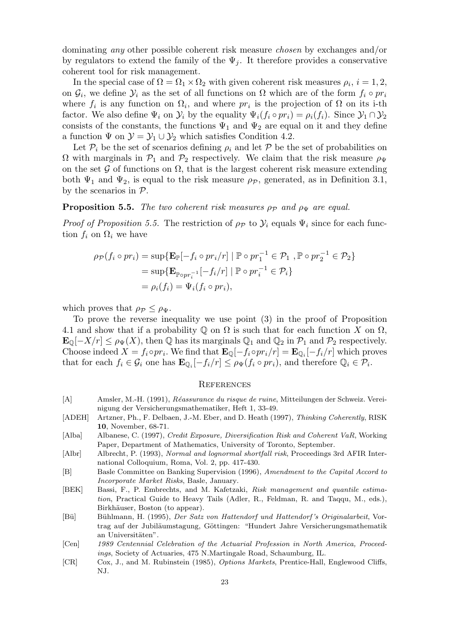dominating any other possible coherent risk measure chosen by exchanges and/or by regulators to extend the family of the  $\Psi_i$ . It therefore provides a conservative coherent tool for risk management.

In the special case of  $\Omega = \Omega_1 \times \Omega_2$  with given coherent risk measures  $\rho_i$ ,  $i = 1, 2$ , on  $\mathcal{G}_i$ , we define  $\mathcal{Y}_i$  as the set of all functions on  $\Omega$  which are of the form  $f_i \circ pr_i$ where  $f_i$  is any function on  $\Omega_i$ , and where  $pr_i$  is the projection of  $\Omega$  on its i-th factor. We also define  $\Psi_i$  on  $\mathcal{Y}_i$  by the equality  $\Psi_i(f_i \circ pr_i) = \rho_i(f_i)$ . Since  $\mathcal{Y}_1 \cap \mathcal{Y}_2$ consists of the constants, the functions  $\Psi_1$  and  $\Psi_2$  are equal on it and they define a function  $\Psi$  on  $\mathcal{Y} = \mathcal{Y}_1 \cup \mathcal{Y}_2$  which satisfies Condition 4.2.

Let  $\mathcal{P}_i$  be the set of scenarios defining  $\rho_i$  and let  $\mathcal P$  be the set of probabilities on  $\Omega$  with marginals in  $\mathcal{P}_1$  and  $\mathcal{P}_2$  respectively. We claim that the risk measure  $\rho_{\Psi}$ on the set  $\mathcal G$  of functions on  $\Omega$ , that is the largest coherent risk measure extending both  $\Psi_1$  and  $\Psi_2$ , is equal to the risk measure  $\rho_{\mathcal{P}}$ , generated, as in Definition 3.1, by the scenarios in P*.*

## **Proposition 5.5.** The two coherent risk measures  $\rho_{\mathcal{P}}$  and  $\rho_{\Psi}$  are equal.

*Proof of Proposition 5.5.* The restriction of  $\rho_{\mathcal{P}}$  to  $\mathcal{Y}_i$  equals  $\Psi_i$  since for each function  $f_i$  on  $\Omega_i$  we have

$$
\rho_{\mathcal{P}}(f_i \circ pr_i) = \sup \{ \mathbf{E}_{\mathbb{P}}[-f_i \circ pr_i/r] \mid \mathbb{P} \circ pr_1^{-1} \in \mathcal{P}_1, \mathbb{P} \circ pr_2^{-1} \in \mathcal{P}_2 \}
$$
  
= 
$$
\sup \{ \mathbf{E}_{\mathbb{P} \circ pr_i^{-1}}[-f_i/r] \mid \mathbb{P} \circ pr_i^{-1} \in \mathcal{P}_i \}
$$
  
= 
$$
\rho_i(f_i) = \Psi_i(f_i \circ pr_i),
$$

which proves that  $\rho_{\mathcal{P}} \leq \rho_{\Psi}$ .

To prove the reverse inequality we use point (3) in the proof of Proposition 4.1 and show that if a probability  $\mathbb Q$  on  $\Omega$  is such that for each function *X* on  $\Omega$ ,  $\mathbf{E}_{\mathbb{Q}}[-X/r] \leq \rho_{\Psi}(X)$ , then  $\mathbb{Q}$  has its marginals  $\mathbb{Q}_1$  and  $\mathbb{Q}_2$  in  $\mathcal{P}_1$  and  $\mathcal{P}_2$  respectively. Choose indeed  $X = f_i \circ pr_i$ . We find that  $\mathbf{E}_{\mathbb{Q}}[-f_i \circ pr_i/r] = \mathbf{E}_{\mathbb{Q}_i}[-f_i/r]$  which proves that for each  $f_i \in \mathcal{G}_i$  one has  $\mathbf{E}_{\mathbb{Q}_i}[-f_i/r] \leq \rho_{\Psi}(f_i \circ pr_i)$ , and therefore  $\mathbb{Q}_i \in \mathcal{P}_i$ .

# **REFERENCES**

- [A] Amsler, M.-H. (1991), *R´eassurance du risque de ruine*, Mitteilungen der Schweiz. Vereinigung der Versicherungsmathematiker, Heft 1, 33-49.
- [ADEH] Artzner, Ph., F. Delbaen, J.-M. Eber, and D. Heath (1997), *Thinking Coherently*, RISK **10**, November, 68-71.
- [Alba] Albanese, C. (1997), *Credit Exposure, Diversification Risk and Coherent VaR*, Working Paper, Department of Mathematics, University of Toronto, September.
- [Albr] Albrecht, P. (1993), *Normal and lognormal shortfall risk*, Proceedings 3rd AFIR International Colloquium, Roma, Vol. 2, pp. 417-430.
- [B] Basle Committee on Banking Supervision (1996), *Amendment to the Capital Accord to Incorporate Market Risks*, Basle, January.
- [BEK] Bassi, F., P. Embrechts, and M. Kafetzaki, *Risk management and quantile estimation*, Practical Guide to Heavy Tails (Adler, R., Feldman, R. and Taqqu, M., eds.), Birkhäuser, Boston (to appear).
- [B¨u] B¨uhlmann, H. (1995), *Der Satz von Hattendorf und Hattendorf 's Originalarbeit*, Vortrag auf der Jubiläumstagung, Göttingen: "Hundert Jahre Versicherungsmathematik an Universitäten".
- [Cen] *1989 Centennial Celebration of the Actuarial Profession in North America, Proceedings*, Society of Actuaries, 475 N.Martingale Road, Schaumburg, IL.
- [CR] Cox, J., and M. Rubinstein (1985), *Options Markets*, Prentice-Hall, Englewood Cliffs, NJ.